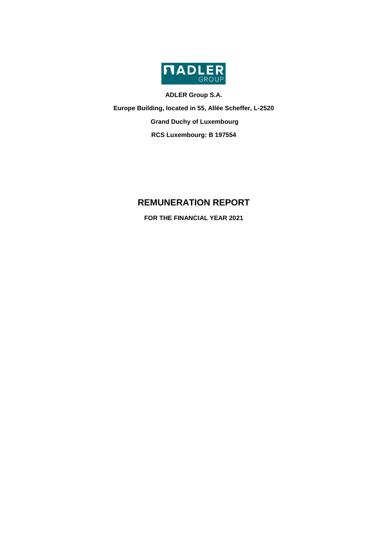

**ADLER Group S.A.**

**Europe Building, located in 55, Allée Scheffer, L-2520 Grand Duchy of Luxembourg**

**RCS Luxembourg: B 197554**

# **REMUNERATION REPORT**

**FOR THE FINANCIAL YEAR 2021**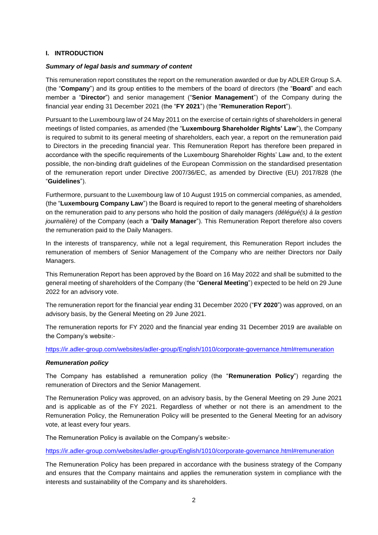#### **I. INTRODUCTION**

#### *Summary of legal basis and summary of content*

This remuneration report constitutes the report on the remuneration awarded or due by ADLER Group S.A. (the "**Company**") and its group entities to the members of the board of directors (the "**Board**" and each member a "**Director**") and senior management ("**Senior Management**") of the Company during the financial year ending 31 December 2021 (the "**FY 2021**") (the "**Remuneration Report**").

Pursuant to the Luxembourg law of 24 May 2011 on the exercise of certain rights of shareholders in general meetings of listed companies, as amended (the "**Luxembourg Shareholder Rights' Law**"), the Company is required to submit to its general meeting of shareholders, each year, a report on the remuneration paid to Directors in the preceding financial year. This Remuneration Report has therefore been prepared in accordance with the specific requirements of the Luxembourg Shareholder Rights' Law and, to the extent possible, the non-binding draft guidelines of the European Commission on the standardised presentation of the remuneration report under Directive 2007/36/EC, as amended by Directive (EU) 2017/828 (the "**Guidelines**").

Furthermore, pursuant to the Luxembourg law of 10 August 1915 on commercial companies, as amended, (the "**Luxembourg Company Law**") the Board is required to report to the general meeting of shareholders on the remuneration paid to any persons who hold the position of daily managers *(délégué(s) à la gestion journalière)* of the Company (each a "**Daily Manager**"). This Remuneration Report therefore also covers the remuneration paid to the Daily Managers.

In the interests of transparency, while not a legal requirement, this Remuneration Report includes the remuneration of members of Senior Management of the Company who are neither Directors nor Daily Managers.

This Remuneration Report has been approved by the Board on 16 May 2022 and shall be submitted to the general meeting of shareholders of the Company (the "**General Meeting**") expected to be held on 29 June 2022 for an advisory vote.

The remuneration report for the financial year ending 31 December 2020 ("**FY 2020**") was approved, on an advisory basis, by the General Meeting on 29 June 2021.

The remuneration reports for FY 2020 and the financial year ending 31 December 2019 are available on the Company's website:-

<https://ir.adler-group.com/websites/adler-group/English/1010/corporate-governance.html#remuneration>

#### *Remuneration policy*

The Company has established a remuneration policy (the "**Remuneration Policy**") regarding the remuneration of Directors and the Senior Management.

The Remuneration Policy was approved, on an advisory basis, by the General Meeting on 29 June 2021 and is applicable as of the FY 2021. Regardless of whether or not there is an amendment to the Remuneration Policy, the Remuneration Policy will be presented to the General Meeting for an advisory vote, at least every four years.

The Remuneration Policy is available on the Company's website:-

<https://ir.adler-group.com/websites/adler-group/English/1010/corporate-governance.html#remuneration>

The Remuneration Policy has been prepared in accordance with the business strategy of the Company and ensures that the Company maintains and applies the remuneration system in compliance with the interests and sustainability of the Company and its shareholders.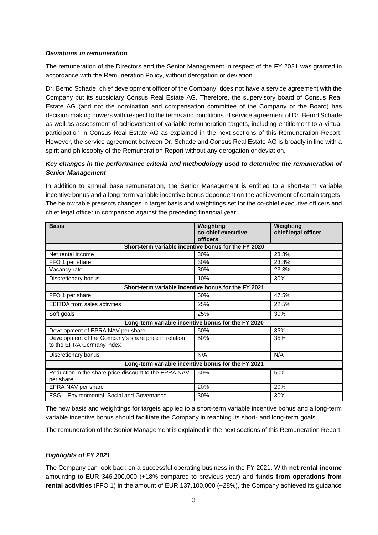#### *Deviations in remuneration*

The remuneration of the Directors and the Senior Management in respect of the FY 2021 was granted in accordance with the Remuneration Policy, without derogation or deviation.

Dr. Bernd Schade, chief development officer of the Company, does not have a service agreement with the Company but its subsidiary Consus Real Estate AG. Therefore, the supervisory board of Consus Real Estate AG (and not the nomination and compensation committee of the Company or the Board) has decision making powers with respect to the terms and conditions of service agreement of Dr. Bernd Schade as well as assessment of achievement of variable remuneration targets, including entitlement to a virtual participation in Consus Real Estate AG as explained in the next sections of this Remuneration Report. However, the service agreement between Dr. Schade and Consus Real Estate AG is broadly in line with a spirit and philosophy of the Remuneration Report without any derogation or deviation.

# *Key changes in the performance criteria and methodology used to determine the remuneration of Senior Management*

In addition to annual base remuneration, the Senior Management is entitled to a short-term variable incentive bonus and a long-term variable incentive bonus dependent on the achievement of certain targets. The below table presents changes in target basis and weightings set for the co-chief executive officers and chief legal officer in comparison against the preceding financial year.

| <b>Basis</b>                                                                      | Weighting<br>co-chief executive                     | Weighting<br>chief legal officer |  |  |  |  |  |
|-----------------------------------------------------------------------------------|-----------------------------------------------------|----------------------------------|--|--|--|--|--|
|                                                                                   | <b>officers</b>                                     |                                  |  |  |  |  |  |
|                                                                                   | Short-term variable incentive bonus for the FY 2020 |                                  |  |  |  |  |  |
| Net rental income                                                                 | 30%                                                 | 23.3%                            |  |  |  |  |  |
| FFO 1 per share                                                                   | 30%                                                 | 23.3%                            |  |  |  |  |  |
| Vacancy rate                                                                      | 30%                                                 | 23.3%                            |  |  |  |  |  |
| Discretionary bonus                                                               | 10%                                                 | 30%                              |  |  |  |  |  |
|                                                                                   | Short-term variable incentive bonus for the FY 2021 |                                  |  |  |  |  |  |
| FFO 1 per share                                                                   | 50%                                                 | 47.5%                            |  |  |  |  |  |
| EBITDA from sales activities                                                      | 25%                                                 | 22.5%                            |  |  |  |  |  |
| Soft goals                                                                        | 25%                                                 | 30%                              |  |  |  |  |  |
|                                                                                   | Long-term variable incentive bonus for the FY 2020  |                                  |  |  |  |  |  |
| Development of EPRA NAV per share                                                 | 50%                                                 | 35%                              |  |  |  |  |  |
| Development of the Company's share price in relation<br>to the EPRA Germany index | 50%                                                 | 35%                              |  |  |  |  |  |
| Discretionary bonus                                                               | N/A                                                 | N/A                              |  |  |  |  |  |
| Long-term variable incentive bonus for the FY 2021                                |                                                     |                                  |  |  |  |  |  |
| Reduction in the share price discount to the EPRA NAV<br>per share                | 50%                                                 | 50%                              |  |  |  |  |  |
| EPRA NAV per share                                                                | 20%                                                 | 20%                              |  |  |  |  |  |
| ESG - Environmental, Social and Governance                                        | 30%                                                 | 30%                              |  |  |  |  |  |

The new basis and weightings for targets applied to a short-term variable incentive bonus and a long-term variable incentive bonus should facilitate the Company in reaching its short- and long-term goals.

The remuneration of the Senior Management is explained in the next sections of this Remuneration Report.

#### *Highlights of FY 2021*

The Company can look back on a successful operating business in the FY 2021. With **net rental income**  amounting to EUR 346,200,000 (+18% compared to previous year) and **funds from operations from rental activities** (FFO 1) in the amount of EUR 137,100,000 (+28%), the Company achieved its guidance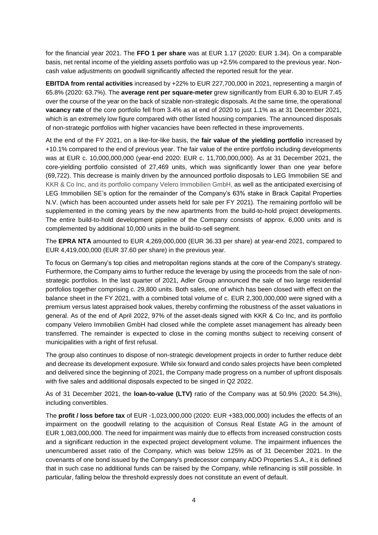for the financial year 2021. The **FFO 1 per share** was at EUR 1.17 (2020: EUR 1.34). On a comparable basis, net rental income of the yielding assets portfolio was up +2.5% compared to the previous year. Noncash value adjustments on goodwill significantly affected the reported result for the year.

**EBITDA from rental activities** increased by +22% to EUR 227,700,000 in 2021, representing a margin of 65.8% (2020: 63.7%). The **average rent per square-meter** grew significantly from EUR 6.30 to EUR 7.45 over the course of the year on the back of sizable non-strategic disposals. At the same time, the operational **vacancy rate** of the core portfolio fell from 3.4% as at end of 2020 to just 1.1% as at 31 December 2021, which is an extremely low figure compared with other listed housing companies. The announced disposals of non-strategic portfolios with higher vacancies have been reflected in these improvements.

At the end of the FY 2021, on a like-for-like basis, the **fair value of the yielding portfolio** increased by +10.1% compared to the end of previous year. The fair value of the entire portfolio including developments was at EUR c. 10,000,000,000 (year-end 2020: EUR c. 11,700,000,000). As at 31 December 2021, the core-yielding portfolio consisted of 27,469 units, which was significantly lower than one year before (69,722). This decrease is mainly driven by the announced portfolio disposals to LEG Immobilien SE and KKR & Co Inc, and its portfolio company Velero Immobilien GmbH, as well as the anticipated exercising of LEG Immobilien SE's option for the remainder of the Company's 63% stake in Brack Capital Properties N.V. (which has been accounted under assets held for sale per FY 2021). The remaining portfolio will be supplemented in the coming years by the new apartments from the build-to-hold project developments. The entire build-to-hold development pipeline of the Company consists of approx. 6,000 units and is complemented by additional 10,000 units in the build-to-sell segment.

The **EPRA NTA** amounted to EUR 4,269,000,000 (EUR 36.33 per share) at year-end 2021, compared to EUR 4,419,000,000 (EUR 37.60 per share) in the previous year.

To focus on Germany's top cities and metropolitan regions stands at the core of the Company's strategy. Furthermore, the Company aims to further reduce the leverage by using the proceeds from the sale of nonstrategic portfolios. In the last quarter of 2021, Adler Group announced the sale of two large residential portfolios together comprising c. 29,800 units. Both sales, one of which has been closed with effect on the balance sheet in the FY 2021, with a combined total volume of c. EUR 2,300,000,000 were signed with a premium versus latest appraised book values, thereby confirming the robustness of the asset valuations in general. As of the end of April 2022, 97% of the asset-deals signed with KKR & Co Inc, and its portfolio company Velero Immobilien GmbH had closed while the complete asset management has already been transferred. The remainder is expected to close in the coming months subject to receiving consent of municipalities with a right of first refusal.

The group also continues to dispose of non-strategic development projects in order to further reduce debt and decrease its development exposure. While six forward and condo sales projects have been completed and delivered since the beginning of 2021, the Company made progress on a number of upfront disposals with five sales and additional disposals expected to be singed in Q2 2022.

As of 31 December 2021, the **loan-to-value (LTV)** ratio of the Company was at 50.9% (2020: 54.3%), including convertibles.

The **profit / loss before tax** of EUR -1,023,000,000 (2020: EUR +383,000,000) includes the effects of an impairment on the goodwill relating to the acquisition of Consus Real Estate AG in the amount of EUR 1,083,000,000. The need for impairment was mainly due to effects from increased construction costs and a significant reduction in the expected project development volume. The impairment influences the unencumbered asset ratio of the Company, which was below 125% as of 31 December 2021. In the covenants of one bond issued by the Company's predecessor company ADO Properties S.A., it is defined that in such case no additional funds can be raised by the Company, while refinancing is still possible. In particular, falling below the threshold expressly does not constitute an event of default.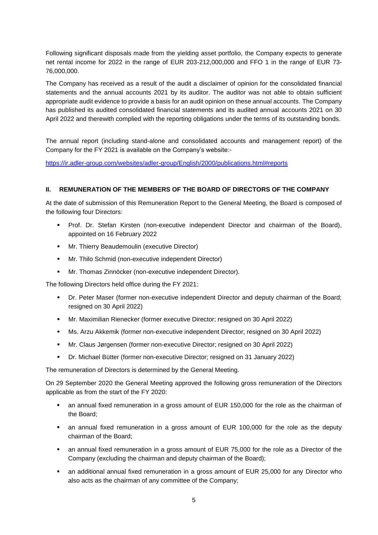Following significant disposals made from the yielding asset portfolio, the Company expects to generate net rental income for 2022 in the range of EUR 203-212,000,000 and FFO 1 in the range of EUR 73- 76,000,000.

The Company has received as a result of the audit a disclaimer of opinion for the consolidated financial statements and the annual accounts 2021 by its auditor. The auditor was not able to obtain sufficient appropriate audit evidence to provide a basis for an audit opinion on these annual accounts. The Company has published its audited consolidated financial statements and its audited annual accounts 2021 on 30 April 2022 and therewith complied with the reporting obligations under the terms of its outstanding bonds.

The annual report (including stand-alone and consolidated accounts and management report) of the Company for the FY 2021 is available on the Company's website:-

<https://ir.adler-group.com/websites/adler-group/English/2000/publications.html#reports>

# **II. REMUNERATION OF THE MEMBERS OF THE BOARD OF DIRECTORS OF THE COMPANY**

At the date of submission of this Remuneration Report to the General Meeting, the Board is composed of the following four Directors:

- Prof. Dr. Stefan Kirsten (non-executive independent Director and chairman of the Board), appointed on 16 February 2022
- **Mr. Thierry Beaudemoulin (executive Director)**
- Mr. Thilo Schmid (non-executive independent Director)
- Mr. Thomas Zinnöcker (non-executive independent Director).

The following Directors held office during the FY 2021:

- Dr. Peter Maser (former non-executive independent Director and deputy chairman of the Board; resigned on 30 April 2022)
- Mr. Maximilian Rienecker (former executive Director; resigned on 30 April 2022)
- Ms. Arzu Akkemik (former non-executive independent Director; resigned on 30 April 2022)
- Mr. Claus Jørgensen (former non-executive Director; resigned on 30 April 2022)
- Dr. Michael Bütter (former non-executive Director; resigned on 31 January 2022)

The remuneration of Directors is determined by the General Meeting.

On 29 September 2020 the General Meeting approved the following gross remuneration of the Directors applicable as from the start of the FY 2020:

- an annual fixed remuneration in a gross amount of EUR 150,000 for the role as the chairman of the Board;
- an annual fixed remuneration in a gross amount of EUR 100,000 for the role as the deputy chairman of the Board;
- an annual fixed remuneration in a gross amount of EUR 75,000 for the role as a Director of the Company (excluding the chairman and deputy chairman of the Board);
- an additional annual fixed remuneration in a gross amount of EUR 25,000 for any Director who also acts as the chairman of any committee of the Company;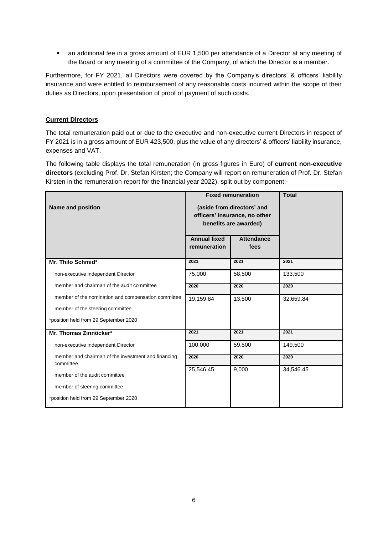an additional fee in a gross amount of EUR 1,500 per attendance of a Director at any meeting of the Board or any meeting of a committee of the Company, of which the Director is a member.

Furthermore, for FY 2021, all Directors were covered by the Company's directors' & officers' liability insurance and were entitled to reimbursement of any reasonable costs incurred within the scope of their duties as Directors, upon presentation of proof of payment of such costs.

# **Current Directors**

The total remuneration paid out or due to the executive and non-executive current Directors in respect of FY 2021 is in a gross amount of EUR 423,500, plus the value of any directors' & officers' liability insurance, expenses and VAT.

The following table displays the total remuneration (in gross figures in Euro) of **current non-executive directors** (excluding Prof. Dr. Stefan Kirsten; the Company will report on remuneration of Prof. Dr. Stefan Kirsten in the remuneration report for the financial year 2022), split out by component:-

| <b>Name and position</b>                                         | <b>Annual fixed</b><br>remuneration | <b>Fixed remuneration</b><br>(aside from directors' and<br>officers' insurance, no other<br>benefits are awarded)<br><b>Attendance</b><br>fees | <b>Total</b> |
|------------------------------------------------------------------|-------------------------------------|------------------------------------------------------------------------------------------------------------------------------------------------|--------------|
| Mr. Thilo Schmid*                                                | 2021                                | 2021                                                                                                                                           | 2021         |
| non-executive independent Director                               | 75,000                              | 58,500                                                                                                                                         | 133,500      |
| member and chairman of the audit committee                       | 2020                                | 2020                                                                                                                                           | 2020         |
| member of the nomination and compensation committee              | 19,159.84                           | 13,500                                                                                                                                         | 32,659.84    |
| member of the steering committee                                 |                                     |                                                                                                                                                |              |
| *position held from 29 September 2020                            |                                     |                                                                                                                                                |              |
| Mr. Thomas Zinnöcker*                                            | 2021                                | 2021                                                                                                                                           | 2021         |
| non-executive independent Director                               | 100,000                             | 59,500                                                                                                                                         | 149,500      |
| member and chairman of the investment and financing<br>committee | 2020                                | 2020                                                                                                                                           | 2020         |
| member of the audit committee                                    | 25,546.45                           | 9,000                                                                                                                                          | 34,546.45    |
| member of steering committee                                     |                                     |                                                                                                                                                |              |
| *position held from 29 September 2020                            |                                     |                                                                                                                                                |              |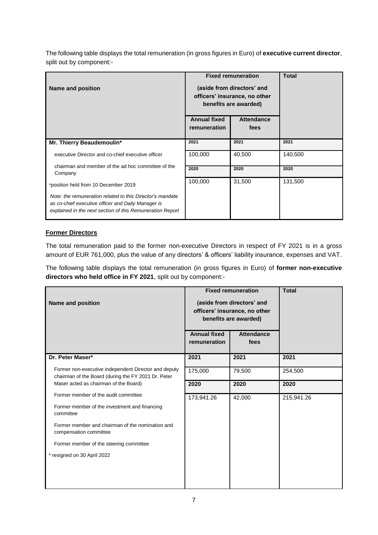The following table displays the total remuneration (in gross figures in Euro) of **executive current director**, split out by component:-

| <b>Name and position</b>                                                                                                                                                     |                                     | <b>Fixed remuneration</b><br>(aside from directors' and<br>officers' insurance, no other<br>benefits are awarded) | <b>Total</b> |
|------------------------------------------------------------------------------------------------------------------------------------------------------------------------------|-------------------------------------|-------------------------------------------------------------------------------------------------------------------|--------------|
|                                                                                                                                                                              | <b>Annual fixed</b><br>remuneration | <b>Attendance</b><br>fees                                                                                         |              |
| Mr. Thierry Beaudemoulin*                                                                                                                                                    | 2021                                | 2021                                                                                                              | 2021         |
| executive Director and co-chief executive officer                                                                                                                            | 100,000                             | 40,500                                                                                                            | 140,500      |
| chairman and member of the ad hoc committee of the<br>Company                                                                                                                | 2020                                | 2020                                                                                                              | 2020         |
| *position held from 10 December 2019                                                                                                                                         | 100,000                             | 31,500                                                                                                            | 131,500      |
| Note: the remuneration related to this Director's mandate<br>as co-chief executive officer and Daily Manager is<br>explained in the next section of this Remuneration Report |                                     |                                                                                                                   |              |

# **Former Directors**

The total remuneration paid to the former non-executive Directors in respect of FY 2021 is in a gross amount of EUR 761,000, plus the value of any directors' & officers' liability insurance, expenses and VAT.

The following table displays the total remuneration (in gross figures in Euro) of **former non-executive directors who held office in FY 2021**, split out by component:-

| <b>Name and position</b>                                                                                    | <b>Fixed remuneration</b><br>(aside from directors' and<br>officers' insurance, no other<br>benefits are awarded)<br><b>Annual fixed</b><br><b>Attendance</b><br>remuneration<br>fees |        | <b>Total</b> |
|-------------------------------------------------------------------------------------------------------------|---------------------------------------------------------------------------------------------------------------------------------------------------------------------------------------|--------|--------------|
| Dr. Peter Maser*                                                                                            | 2021                                                                                                                                                                                  | 2021   | 2021         |
| Former non-executive independent Director and deputy<br>chairman of the Board (during the FY 2021 Dr. Peter | 175,000                                                                                                                                                                               | 79,500 | 254,500      |
| Maser acted as chairman of the Board)                                                                       | 2020                                                                                                                                                                                  | 2020   | 2020         |
| Former member of the audit committee                                                                        | 173,941.26                                                                                                                                                                            | 42,000 | 215,941.26   |
| Former member of the investment and financing<br>committee                                                  |                                                                                                                                                                                       |        |              |
| Former member and chairman of the nomination and<br>compensation committee                                  |                                                                                                                                                                                       |        |              |
| Former member of the steering committee                                                                     |                                                                                                                                                                                       |        |              |
| * resigned on 30 April 2022                                                                                 |                                                                                                                                                                                       |        |              |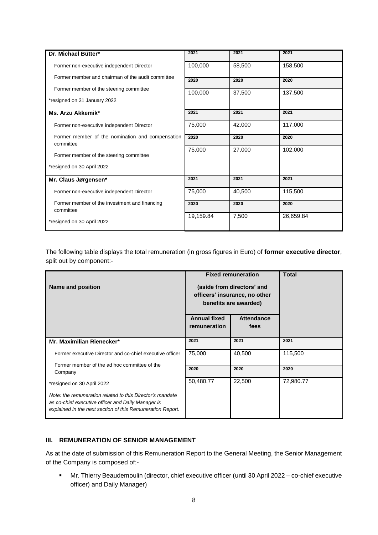| Dr. Michael Bütter*                                           | 2021      | 2021   | 2021      |
|---------------------------------------------------------------|-----------|--------|-----------|
| Former non-executive independent Director                     | 100,000   | 58,500 | 158,500   |
| Former member and chairman of the audit committee             | 2020      | 2020   | 2020      |
| Former member of the steering committee                       | 100,000   | 37,500 | 137,500   |
| *resigned on 31 January 2022                                  |           |        |           |
| Ms. Arzu Akkemik*                                             | 2021      | 2021   | 2021      |
| Former non-executive independent Director                     | 75,000    | 42,000 | 117,000   |
| Former member of the nomination and compensation<br>committee | 2020      | 2020   | 2020      |
| Former member of the steering committee                       | 75,000    | 27,000 | 102,000   |
| *resigned on 30 April 2022                                    |           |        |           |
| Mr. Claus Jørgensen*                                          | 2021      | 2021   | 2021      |
| Former non-executive independent Director                     | 75,000    | 40,500 | 115,500   |
| Former member of the investment and financing<br>committee    | 2020      | 2020   | 2020      |
| *resigned on 30 April 2022                                    | 19,159.84 | 7,500  | 26,659.84 |

The following table displays the total remuneration (in gross figures in Euro) of **former executive director**, split out by component:-

| <b>Name and position</b>                                                                                                                                                      | <b>Fixed remuneration</b><br>(aside from directors' and<br>officers' insurance, no other<br>benefits are awarded) | <b>Total</b>              |           |
|-------------------------------------------------------------------------------------------------------------------------------------------------------------------------------|-------------------------------------------------------------------------------------------------------------------|---------------------------|-----------|
|                                                                                                                                                                               | <b>Annual fixed</b><br>remuneration                                                                               | <b>Attendance</b><br>fees |           |
| Mr. Maximilian Rienecker*                                                                                                                                                     | 2021                                                                                                              | 2021                      | 2021      |
| Former executive Director and co-chief executive officer<br>Former member of the ad hoc committee of the                                                                      | 75,000                                                                                                            | 40,500                    | 115,500   |
| Company                                                                                                                                                                       | 2020                                                                                                              | 2020                      | 2020      |
| *resigned on 30 April 2022                                                                                                                                                    | 50,480.77                                                                                                         | 22,500                    | 72,980.77 |
| Note: the remuneration related to this Director's mandate<br>as co-chief executive officer and Daily Manager is<br>explained in the next section of this Remuneration Report. |                                                                                                                   |                           |           |

#### **III. REMUNERATION OF SENIOR MANAGEMENT**

As at the date of submission of this Remuneration Report to the General Meeting, the Senior Management of the Company is composed of:-

 Mr. Thierry Beaudemoulin (director, chief executive officer (until 30 April 2022 – co-chief executive officer) and Daily Manager)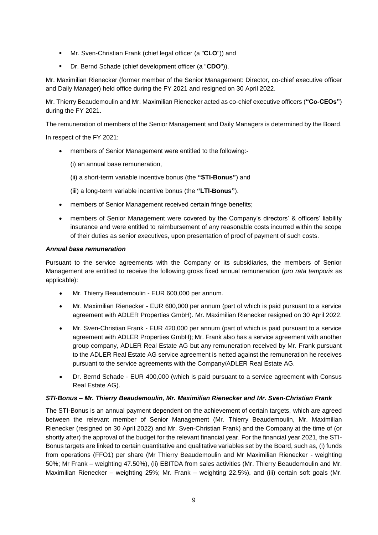- Mr. Sven-Christian Frank (chief legal officer (a "**CLO**")) and
- Dr. Bernd Schade (chief development officer (a "**CDO**")).

Mr. Maximilian Rienecker (former member of the Senior Management: Director, co-chief executive officer and Daily Manager) held office during the FY 2021 and resigned on 30 April 2022.

Mr. Thierry Beaudemoulin and Mr. Maximilian Rienecker acted as co-chief executive officers (**"Co-CEOs"**) during the FY 2021.

The remuneration of members of the Senior Management and Daily Managers is determined by the Board.

In respect of the FY 2021:

members of Senior Management were entitled to the following:-

(i) an annual base remuneration,

- (ii) a short-term variable incentive bonus (the **"STI-Bonus"**) and
- (iii) a long-term variable incentive bonus (the **"LTI-Bonus"**).
- members of Senior Management received certain fringe benefits;
- members of Senior Management were covered by the Company's directors' & officers' liability insurance and were entitled to reimbursement of any reasonable costs incurred within the scope of their duties as senior executives, upon presentation of proof of payment of such costs.

#### *Annual base remuneration*

Pursuant to the service agreements with the Company or its subsidiaries, the members of Senior Management are entitled to receive the following gross fixed annual remuneration (*pro rata temporis* as applicable):

- Mr. Thierry Beaudemoulin EUR 600,000 per annum.
- Mr. Maximilian Rienecker EUR 600,000 per annum (part of which is paid pursuant to a service agreement with ADLER Properties GmbH). Mr. Maximilian Rienecker resigned on 30 April 2022.
- Mr. Sven-Christian Frank EUR 420,000 per annum (part of which is paid pursuant to a service agreement with ADLER Properties GmbH); Mr. Frank also has a service agreement with another group company, ADLER Real Estate AG but any remuneration received by Mr. Frank pursuant to the ADLER Real Estate AG service agreement is netted against the remuneration he receives pursuant to the service agreements with the Company/ADLER Real Estate AG.
- Dr. Bernd Schade EUR 400,000 (which is paid pursuant to a service agreement with Consus Real Estate AG).

#### *STI-Bonus – Mr. Thierry Beaudemoulin, Mr. Maximilian Rienecker and Mr. Sven-Christian Frank*

The STI-Bonus is an annual payment dependent on the achievement of certain targets, which are agreed between the relevant member of Senior Management (Mr. Thierry Beaudemoulin, Mr. Maximilian Rienecker (resigned on 30 April 2022) and Mr. Sven-Christian Frank) and the Company at the time of (or shortly after) the approval of the budget for the relevant financial year. For the financial year 2021, the STI-Bonus targets are linked to certain quantitative and qualitative variables set by the Board, such as, (i) funds from operations (FFO1) per share (Mr Thierry Beaudemoulin and Mr Maximilian Rienecker - weighting 50%; Mr Frank – weighting 47.50%), (ii) EBITDA from sales activities (Mr. Thierry Beaudemoulin and Mr. Maximilian Rienecker – weighting 25%; Mr. Frank – weighting 22.5%), and (iii) certain soft goals (Mr.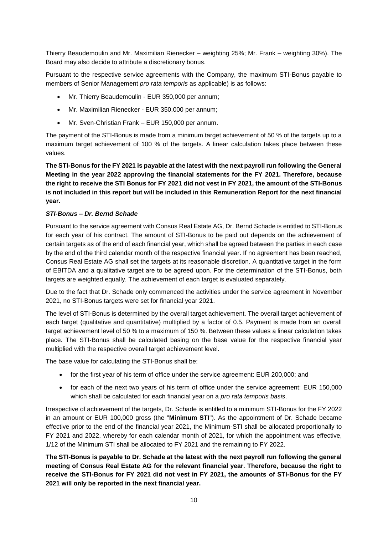Thierry Beaudemoulin and Mr. Maximilian Rienecker – weighting 25%; Mr. Frank – weighting 30%). The Board may also decide to attribute a discretionary bonus.

Pursuant to the respective service agreements with the Company, the maximum STI-Bonus payable to members of Senior Management *pro rata temporis* as applicable) is as follows:

- Mr. Thierry Beaudemoulin EUR 350,000 per annum;
- Mr. Maximilian Rienecker EUR 350,000 per annum;
- Mr. Sven-Christian Frank EUR 150,000 per annum.

The payment of the STI-Bonus is made from a minimum target achievement of 50 % of the targets up to a maximum target achievement of 100 % of the targets. A linear calculation takes place between these values.

**The STI-Bonus for the FY 2021 is payable at the latest with the next payroll run following the General Meeting in the year 2022 approving the financial statements for the FY 2021. Therefore, because the right to receive the STI Bonus for FY 2021 did not vest in FY 2021, the amount of the STI-Bonus is not included in this report but will be included in this Remuneration Report for the next financial year.** 

# *STI-Bonus – Dr. Bernd Schade*

Pursuant to the service agreement with Consus Real Estate AG, Dr. Bernd Schade is entitled to STI-Bonus for each year of his contract. The amount of STI-Bonus to be paid out depends on the achievement of certain targets as of the end of each financial year, which shall be agreed between the parties in each case by the end of the third calendar month of the respective financial year. If no agreement has been reached, Consus Real Estate AG shall set the targets at its reasonable discretion. A quantitative target in the form of EBITDA and a qualitative target are to be agreed upon. For the determination of the STI-Bonus, both targets are weighted equally. The achievement of each target is evaluated separately.

Due to the fact that Dr. Schade only commenced the activities under the service agreement in November 2021, no STI-Bonus targets were set for financial year 2021.

The level of STI-Bonus is determined by the overall target achievement. The overall target achievement of each target (qualitative and quantitative) multiplied by a factor of 0.5. Payment is made from an overall target achievement level of 50 % to a maximum of 150 %. Between these values a linear calculation takes place. The STI-Bonus shall be calculated basing on the base value for the respective financial year multiplied with the respective overall target achievement level.

The base value for calculating the STI-Bonus shall be:

- for the first year of his term of office under the service agreement: EUR 200,000; and
- for each of the next two years of his term of office under the service agreement: EUR 150,000 which shall be calculated for each financial year on a *pro rata temporis basis*.

Irrespective of achievement of the targets, Dr. Schade is entitled to a minimum STI-Bonus for the FY 2022 in an amount or EUR 100,000 gross (the "**Minimum STI**"). As the appointment of Dr. Schade became effective prior to the end of the financial year 2021, the Minimum-STI shall be allocated proportionally to FY 2021 and 2022, whereby for each calendar month of 2021, for which the appointment was effective, 1/12 of the Minimum STI shall be allocated to FY 2021 and the remaining to FY 2022.

**The STI-Bonus is payable to Dr. Schade at the latest with the next payroll run following the general meeting of Consus Real Estate AG for the relevant financial year. Therefore, because the right to receive the STI-Bonus for FY 2021 did not vest in FY 2021, the amounts of STI-Bonus for the FY 2021 will only be reported in the next financial year.**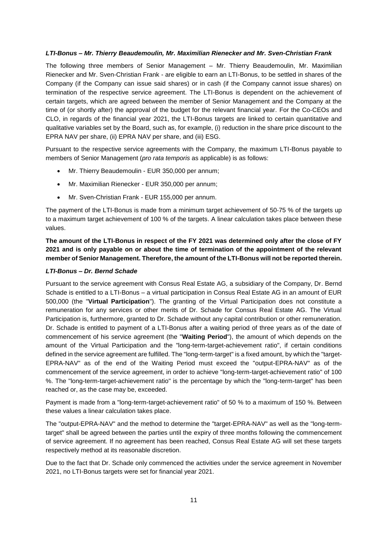#### *LTI-Bonus – Mr. Thierry Beaudemoulin, Mr. Maximilian Rienecker and Mr. Sven-Christian Frank*

The following three members of Senior Management – Mr. Thierry Beaudemoulin, Mr. Maximilian Rienecker and Mr. Sven-Christian Frank - are eligible to earn an LTI-Bonus, to be settled in shares of the Company (if the Company can issue said shares) or in cash (if the Company cannot issue shares) on termination of the respective service agreement. The LTI-Bonus is dependent on the achievement of certain targets, which are agreed between the member of Senior Management and the Company at the time of (or shortly after) the approval of the budget for the relevant financial year. For the Co-CEOs and CLO, in regards of the financial year 2021, the LTI-Bonus targets are linked to certain quantitative and qualitative variables set by the Board, such as, for example, (i) reduction in the share price discount to the EPRA NAV per share, (ii) EPRA NAV per share, and (iii) ESG.

Pursuant to the respective service agreements with the Company, the maximum LTI-Bonus payable to members of Senior Management (*pro rata temporis* as applicable) is as follows:

- Mr. Thierry Beaudemoulin EUR 350,000 per annum;
- Mr. Maximilian Rienecker EUR 350,000 per annum;
- Mr. Sven-Christian Frank EUR 155,000 per annum.

The payment of the LTI-Bonus is made from a minimum target achievement of 50-75 % of the targets up to a maximum target achievement of 100 % of the targets. A linear calculation takes place between these values.

**The amount of the LTI-Bonus in respect of the FY 2021 was determined only after the close of FY 2021 and is only payable on or about the time of termination of the appointment of the relevant member of Senior Management. Therefore, the amount of the LTI-Bonus will not be reported therein.**

#### *LTI-Bonus – Dr. Bernd Schade*

Pursuant to the service agreement with Consus Real Estate AG, a subsidiary of the Company, Dr. Bernd Schade is entitled to a LTI-Bonus – a virtual participation in Consus Real Estate AG in an amount of EUR 500,000 (the "**Virtual Participation**"). The granting of the Virtual Participation does not constitute a remuneration for any services or other merits of Dr. Schade for Consus Real Estate AG. The Virtual Participation is, furthermore, granted to Dr. Schade without any capital contribution or other remuneration. Dr. Schade is entitled to payment of a LTI-Bonus after a waiting period of three years as of the date of commencement of his service agreement (the "**Waiting Period**"), the amount of which depends on the amount of the Virtual Participation and the "long-term-target-achievement ratio", if certain conditions defined in the service agreement are fulfilled. The "long-term-target" is a fixed amount, by which the "target-EPRA-NAV" as of the end of the Waiting Period must exceed the "output-EPRA-NAV" as of the commencement of the service agreement, in order to achieve "long-term-target-achievement ratio" of 100 %. The "long-term-target-achievement ratio" is the percentage by which the "long-term-target" has been reached or, as the case may be, exceeded.

Payment is made from a "long-term-target-achievement ratio" of 50 % to a maximum of 150 %. Between these values a linear calculation takes place.

The "output-EPRA-NAV" and the method to determine the "target-EPRA-NAV" as well as the "long-termtarget" shall be agreed between the parties until the expiry of three months following the commencement of service agreement. If no agreement has been reached, Consus Real Estate AG will set these targets respectively method at its reasonable discretion.

Due to the fact that Dr. Schade only commenced the activities under the service agreement in November 2021, no LTI-Bonus targets were set for financial year 2021.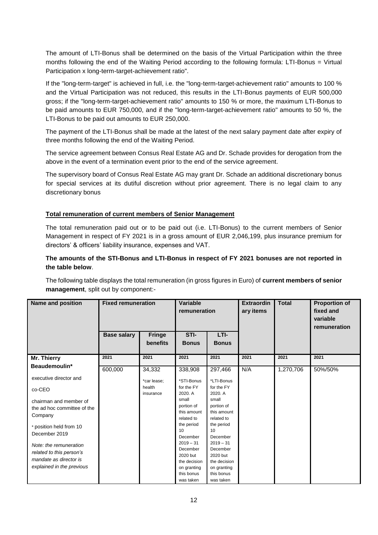The amount of LTI-Bonus shall be determined on the basis of the Virtual Participation within the three months following the end of the Waiting Period according to the following formula: LTI-Bonus = Virtual Participation x long-term-target-achievement ratio".

If the "long-term-target" is achieved in full, i.e. the "long-term-target-achievement ratio" amounts to 100 % and the Virtual Participation was not reduced, this results in the LTI-Bonus payments of EUR 500,000 gross; if the "long-term-target-achievement ratio" amounts to 150 % or more, the maximum LTI-Bonus to be paid amounts to EUR 750,000, and if the "long-term-target-achievement ratio" amounts to 50 %, the LTI-Bonus to be paid out amounts to EUR 250,000.

The payment of the LTI-Bonus shall be made at the latest of the next salary payment date after expiry of three months following the end of the Waiting Period.

The service agreement between Consus Real Estate AG and Dr. Schade provides for derogation from the above in the event of a termination event prior to the end of the service agreement.

The supervisory board of Consus Real Estate AG may grant Dr. Schade an additional discretionary bonus for special services at its dutiful discretion without prior agreement. There is no legal claim to any discretionary bonus

# **Total remuneration of current members of Senior Management**

The total remuneration paid out or to be paid out (i.e. LTI-Bonus) to the current members of Senior Management in respect of FY 2021 is in a gross amount of EUR 2,046,199, plus insurance premium for directors' & officers' liability insurance, expenses and VAT.

# **The amounts of the STI-Bonus and LTI-Bonus in respect of FY 2021 bonuses are not reported in the table below**.

The following table displays the total remuneration (in gross figures in Euro) of **current members of senior management**, split out by component:-

| <b>Name and position</b>    | <b>Fixed remuneration</b> |                     | Variable<br>remuneration  |                           | <b>Extraordin</b><br>ary items | <b>Total</b> | <b>Proportion of</b><br>fixed and<br>variable<br>remuneration |
|-----------------------------|---------------------------|---------------------|---------------------------|---------------------------|--------------------------------|--------------|---------------------------------------------------------------|
|                             | <b>Base salary</b>        | <b>Fringe</b>       | STI-                      | LTI-                      |                                |              |                                                               |
|                             |                           | benefits            | <b>Bonus</b>              | <b>Bonus</b>              |                                |              |                                                               |
| Mr. Thierry                 | 2021                      | 2021                | 2021                      | 2021                      | 2021                           | 2021         | 2021                                                          |
| Beaudemoulin*               | 600,000                   | 34,332              | 338,908                   | 297,466                   | N/A                            | 1,270,706    | 50%/50%                                                       |
| executive director and      |                           | *car lease;         | *STI-Bonus                | *LTI-Bonus                |                                |              |                                                               |
| co-CEO                      |                           | health<br>insurance | for the FY<br>2020. A     | for the FY<br>2020. A     |                                |              |                                                               |
| chairman and member of      |                           |                     | small                     | small                     |                                |              |                                                               |
| the ad hoc committee of the |                           |                     | portion of<br>this amount | portion of<br>this amount |                                |              |                                                               |
| Company                     |                           |                     | related to                | related to                |                                |              |                                                               |
| * position held from 10     |                           |                     | the period                | the period                |                                |              |                                                               |
| December 2019               |                           |                     | 10                        | 10                        |                                |              |                                                               |
|                             |                           |                     | December<br>$2019 - 31$   | December<br>$2019 - 31$   |                                |              |                                                               |
| Note: the remuneration      |                           |                     | December                  | December                  |                                |              |                                                               |
| related to this person's    |                           |                     | 2020 but                  | 2020 but                  |                                |              |                                                               |
| mandate as director is      |                           |                     | the decision              | the decision              |                                |              |                                                               |
| explained in the previous   |                           |                     | on granting               | on granting               |                                |              |                                                               |
|                             |                           |                     | this bonus                | this bonus                |                                |              |                                                               |
|                             |                           |                     | was taken                 | was taken                 |                                |              |                                                               |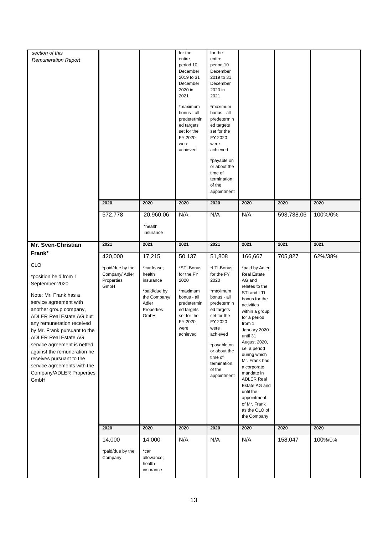| section of this                                                                                                                                                                                                                                                                                                                                                                                                         |                                                          |                                                                                                   | for the                                                                                                                                                                            | for the                                                                                                                                                                                                                                                              |                                                                                                                                                                                                                                                                                                                                                                                                         |            |         |
|-------------------------------------------------------------------------------------------------------------------------------------------------------------------------------------------------------------------------------------------------------------------------------------------------------------------------------------------------------------------------------------------------------------------------|----------------------------------------------------------|---------------------------------------------------------------------------------------------------|------------------------------------------------------------------------------------------------------------------------------------------------------------------------------------|----------------------------------------------------------------------------------------------------------------------------------------------------------------------------------------------------------------------------------------------------------------------|---------------------------------------------------------------------------------------------------------------------------------------------------------------------------------------------------------------------------------------------------------------------------------------------------------------------------------------------------------------------------------------------------------|------------|---------|
| <b>Remuneration Report</b>                                                                                                                                                                                                                                                                                                                                                                                              |                                                          |                                                                                                   | entire<br>period 10<br>December<br>2019 to 31<br>December<br>2020 in<br>2021<br>*maximum<br>bonus - all<br>predetermin<br>ed targets<br>set for the<br>FY 2020<br>were<br>achieved | entire<br>period 10<br>December<br>2019 to 31<br>December<br>2020 in<br>2021<br>*maximum<br>bonus - all<br>predetermin<br>ed targets<br>set for the<br>FY 2020<br>were<br>achieved<br>*payable on<br>or about the<br>time of<br>termination<br>of the<br>appointment |                                                                                                                                                                                                                                                                                                                                                                                                         |            |         |
|                                                                                                                                                                                                                                                                                                                                                                                                                         | 2020                                                     | 2020                                                                                              | 2020                                                                                                                                                                               | 2020                                                                                                                                                                                                                                                                 | 2020                                                                                                                                                                                                                                                                                                                                                                                                    | 2020       | 2020    |
|                                                                                                                                                                                                                                                                                                                                                                                                                         | 572,778                                                  | 20,960.06<br>*health<br>insurance                                                                 | N/A                                                                                                                                                                                | N/A                                                                                                                                                                                                                                                                  | N/A                                                                                                                                                                                                                                                                                                                                                                                                     | 593,738.06 | 100%/0% |
| Mr. Sven-Christian                                                                                                                                                                                                                                                                                                                                                                                                      | 2021                                                     | 2021                                                                                              | 2021                                                                                                                                                                               | 2021                                                                                                                                                                                                                                                                 | 2021                                                                                                                                                                                                                                                                                                                                                                                                    | 2021       | 2021    |
| Frank*                                                                                                                                                                                                                                                                                                                                                                                                                  | 420,000                                                  | 17,215                                                                                            | 50,137                                                                                                                                                                             | 51,808                                                                                                                                                                                                                                                               | 166,667                                                                                                                                                                                                                                                                                                                                                                                                 | 705,827    | 62%/38% |
| <b>CLO</b><br>*position held from 1<br>September 2020<br>Note: Mr. Frank has a<br>service agreement with<br>another group company,<br>ADLER Real Estate AG but<br>any remuneration received<br>by Mr. Frank pursuant to the<br><b>ADLER Real Estate AG</b><br>service agreement is netted<br>against the remuneration he<br>receives pursuant to the<br>service agreements with the<br>Company/ADLER Properties<br>GmbH | *paid/due by the<br>Company/ Adler<br>Properties<br>GmbH | *car lease;<br>health<br>insurance<br>*paid/due by<br>the Company/<br>Adler<br>Properties<br>GmbH | *STI-Bonus<br>for the FY<br>2020<br>*maximum<br>bonus - all<br>predetermin<br>ed targets<br>set for the<br>FY 2020<br>were<br>achieved                                             | *LTI-Bonus<br>for the FY<br>2020<br>*maximum<br>bonus - all<br>predetermin<br>ed targets<br>set for the<br>FY 2020<br>were<br>achieved<br>*payable on<br>or about the<br>time of<br>termination<br>of the<br>appointment                                             | *paid by Adler<br><b>Real Estate</b><br>AG and<br>relates to the<br>STI and LTI<br>bonus for the<br>activities<br>within a group<br>for a period<br>from 1<br>January 2020<br>until 31<br>August 2020,<br>i.e. a period<br>during which<br>Mr. Frank had<br>a corporate<br>mandate in<br><b>ADLER Real</b><br>Estate AG and<br>until the<br>appointment<br>of Mr. Frank<br>as the CLO of<br>the Company |            |         |
|                                                                                                                                                                                                                                                                                                                                                                                                                         | 2020                                                     | 2020                                                                                              | 2020                                                                                                                                                                               | 2020                                                                                                                                                                                                                                                                 | 2020                                                                                                                                                                                                                                                                                                                                                                                                    | 2020       | 2020    |
|                                                                                                                                                                                                                                                                                                                                                                                                                         | 14,000<br>*paid/due by the<br>Company                    | 14,000<br>*car<br>allowance;<br>health<br>insurance                                               | N/A                                                                                                                                                                                | N/A                                                                                                                                                                                                                                                                  | N/A                                                                                                                                                                                                                                                                                                                                                                                                     | 158,047    | 100%/0% |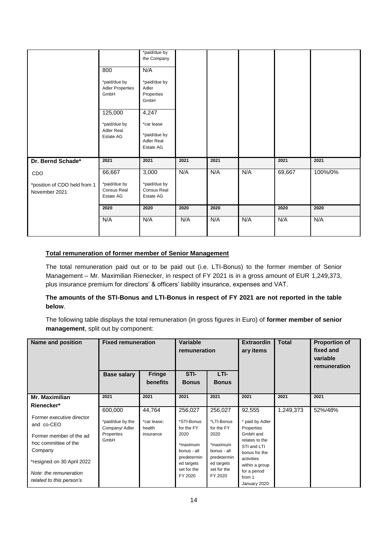|                                                      | 800<br>*paid/due by<br><b>Adler Properties</b><br>GmbH<br>125,000<br>*paid/due by<br>Adler Real<br>Estate AG | *paid/due by<br>the Company<br>N/A<br>*paid/due by<br>Adler<br>Properties<br>GmbH<br>4,247<br>*car lease<br>*paid/due by<br>Adler Real<br>Estate AG |      |      |     |        |         |
|------------------------------------------------------|--------------------------------------------------------------------------------------------------------------|-----------------------------------------------------------------------------------------------------------------------------------------------------|------|------|-----|--------|---------|
| Dr. Bernd Schade*                                    | 2021                                                                                                         | 2021                                                                                                                                                | 2021 | 2021 |     | 2021   | 2021    |
| CDO<br>*position of CDO held from 1<br>November 2021 | 66,667<br>*paid/due by<br>Consus Real<br>Estate AG                                                           | 3,000<br>*paid/due by<br>Consus Real<br>Estate AG                                                                                                   | N/A  | N/A  | N/A | 69,667 | 100%/0% |
|                                                      | 2020                                                                                                         | 2020                                                                                                                                                | 2020 | 2020 |     | 2020   | 2020    |
|                                                      | N/A                                                                                                          | N/A                                                                                                                                                 | N/A  | N/A  | N/A | N/A    | N/A     |

# **Total remuneration of former member of Senior Management**

The total remuneration paid out or to be paid out (i.e. LTI-Bonus) to the former member of Senior Management – Mr. Maximilian Rienecker, in respect of FY 2021 is in a gross amount of EUR 1,249,373, plus insurance premium for directors' & officers' liability insurance, expenses and VAT.

# **The amounts of the STI-Bonus and LTI-Bonus in respect of FY 2021 are not reported in the table below**.

The following table displays the total remuneration (in gross figures in Euro) of **former member of senior management**, split out by component:

| Name and position                                                                                                                                                                                       | <b>Fixed remuneration</b>                                           |                                              | Variable<br>remuneration                                                                                                      |                                                                                                                               | <b>Extraordin</b><br>ary items                                                                                                                                                  | <b>Total</b> | <b>Proportion of</b><br>fixed and<br>variable<br>remuneration |
|---------------------------------------------------------------------------------------------------------------------------------------------------------------------------------------------------------|---------------------------------------------------------------------|----------------------------------------------|-------------------------------------------------------------------------------------------------------------------------------|-------------------------------------------------------------------------------------------------------------------------------|---------------------------------------------------------------------------------------------------------------------------------------------------------------------------------|--------------|---------------------------------------------------------------|
|                                                                                                                                                                                                         | <b>Base salary</b>                                                  | <b>Fringe</b><br>benefits                    | STI-<br><b>Bonus</b>                                                                                                          | LTI-<br><b>Bonus</b>                                                                                                          |                                                                                                                                                                                 |              |                                                               |
| Mr. Maximilian                                                                                                                                                                                          | 2021                                                                | 2021                                         | 2021                                                                                                                          | 2021                                                                                                                          | 2021                                                                                                                                                                            | 2021         | 2021                                                          |
| Rienecker*<br>Former executive director<br>and co-CEO<br>Former member of the ad<br>hoc committee of the<br>Company<br>*resigned on 30 April 2022<br>Note: the remuneration<br>related to this person's | 600,000<br>*paid/due by the<br>Company/ Adler<br>Properties<br>GmbH | 44.764<br>*car lease;<br>health<br>insurance | 256,027<br>*STI-Bonus<br>for the FY<br>2020<br>*maximum<br>bonus - all<br>predetermin<br>ed targets<br>set for the<br>FY 2020 | 256,027<br>*LTI-Bonus<br>for the FY<br>2020<br>*maximum<br>bonus - all<br>predetermin<br>ed targets<br>set for the<br>FY 2020 | 92,555<br>* paid by Adler<br>Properties<br>GmbH and<br>relates to the<br>STI and LTI<br>bonus for the<br>activities<br>within a group<br>for a period<br>from 1<br>January 2020 | 1,249,373    | 52%/48%                                                       |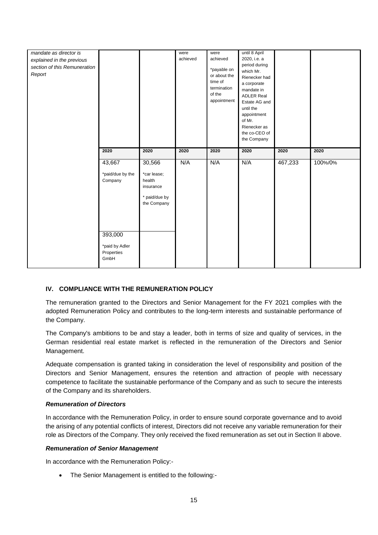| mandate as director is       |                  |                       | were     | were                  | until 8 April                 |         |         |
|------------------------------|------------------|-----------------------|----------|-----------------------|-------------------------------|---------|---------|
| explained in the previous    |                  |                       | achieved | achieved              | 2020, i.e. a<br>period during |         |         |
| section of this Remuneration |                  |                       |          | *payable on           | which Mr.                     |         |         |
| Report                       |                  |                       |          | or about the          | Rienecker had                 |         |         |
|                              |                  |                       |          | time of               | a corporate                   |         |         |
|                              |                  |                       |          | termination           | mandate in                    |         |         |
|                              |                  |                       |          | of the<br>appointment | <b>ADLER Real</b>             |         |         |
|                              |                  |                       |          |                       | Estate AG and<br>until the    |         |         |
|                              |                  |                       |          |                       | appointment                   |         |         |
|                              |                  |                       |          |                       | of Mr.                        |         |         |
|                              |                  |                       |          |                       | Rienecker as                  |         |         |
|                              |                  |                       |          |                       | the co-CEO of                 |         |         |
|                              |                  |                       |          |                       | the Company                   |         |         |
|                              | 2020             | 2020                  | 2020     | 2020                  | 2020                          | 2020    | 2020    |
|                              |                  |                       |          |                       |                               |         |         |
|                              |                  |                       |          |                       |                               |         |         |
|                              | 43,667           | 30,566                | N/A      | N/A                   | N/A                           | 467,233 | 100%/0% |
|                              |                  |                       |          |                       |                               |         |         |
|                              | *paid/due by the | *car lease;<br>health |          |                       |                               |         |         |
|                              | Company          | insurance             |          |                       |                               |         |         |
|                              |                  |                       |          |                       |                               |         |         |
|                              |                  | * paid/due by         |          |                       |                               |         |         |
|                              |                  | the Company           |          |                       |                               |         |         |
|                              |                  |                       |          |                       |                               |         |         |
|                              |                  |                       |          |                       |                               |         |         |
|                              |                  |                       |          |                       |                               |         |         |
|                              | 393,000          |                       |          |                       |                               |         |         |
|                              | *paid by Adler   |                       |          |                       |                               |         |         |
|                              | Properties       |                       |          |                       |                               |         |         |
|                              | GmbH             |                       |          |                       |                               |         |         |

# **IV. COMPLIANCE WITH THE REMUNERATION POLICY**

The remuneration granted to the Directors and Senior Management for the FY 2021 complies with the adopted Remuneration Policy and contributes to the long-term interests and sustainable performance of the Company.

The Company's ambitions to be and stay a leader, both in terms of size and quality of services, in the German residential real estate market is reflected in the remuneration of the Directors and Senior Management.

Adequate compensation is granted taking in consideration the level of responsibility and position of the Directors and Senior Management, ensures the retention and attraction of people with necessary competence to facilitate the sustainable performance of the Company and as such to secure the interests of the Company and its shareholders.

#### *Remuneration of Directors*

In accordance with the Remuneration Policy, in order to ensure sound corporate governance and to avoid the arising of any potential conflicts of interest, Directors did not receive any variable remuneration for their role as Directors of the Company. They only received the fixed remuneration as set out in Section II above.

### *Remuneration of Senior Management*

In accordance with the Remuneration Policy:-

The Senior Management is entitled to the following:-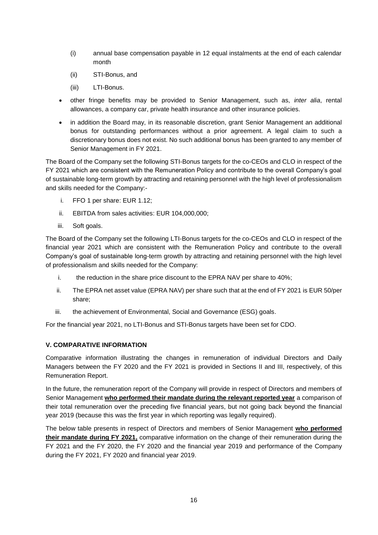- (i) annual base compensation payable in 12 equal instalments at the end of each calendar month
- (ii) STI-Bonus, and
- (iii) LTI-Bonus.
- other fringe benefits may be provided to Senior Management, such as, *inter alia*, rental allowances, a company car, private health insurance and other insurance policies.
- in addition the Board may, in its reasonable discretion, grant Senior Management an additional bonus for outstanding performances without a prior agreement. A legal claim to such a discretionary bonus does not exist. No such additional bonus has been granted to any member of Senior Management in FY 2021.

The Board of the Company set the following STI-Bonus targets for the co-CEOs and CLO in respect of the FY 2021 which are consistent with the Remuneration Policy and contribute to the overall Company's goal of sustainable long-term growth by attracting and retaining personnel with the high level of professionalism and skills needed for the Company:-

- i. FFO 1 per share: EUR 1.12;
- ii. EBITDA from sales activities: EUR 104,000,000;
- iii. Soft goals.

The Board of the Company set the following LTI-Bonus targets for the co-CEOs and CLO in respect of the financial year 2021 which are consistent with the Remuneration Policy and contribute to the overall Company's goal of sustainable long-term growth by attracting and retaining personnel with the high level of professionalism and skills needed for the Company:

- i. the reduction in the share price discount to the EPRA NAV per share to 40%;
- ii. The EPRA net asset value (EPRA NAV) per share such that at the end of FY 2021 is EUR 50/per share;
- iii. the achievement of Environmental, Social and Governance (ESG) goals.

For the financial year 2021, no LTI-Bonus and STI-Bonus targets have been set for CDO.

# **V. COMPARATIVE INFORMATION**

Comparative information illustrating the changes in remuneration of individual Directors and Daily Managers between the FY 2020 and the FY 2021 is provided in Sections II and III, respectively, of this Remuneration Report.

In the future, the remuneration report of the Company will provide in respect of Directors and members of Senior Management **who performed their mandate during the relevant reported year** a comparison of their total remuneration over the preceding five financial years, but not going back beyond the financial year 2019 (because this was the first year in which reporting was legally required).

The below table presents in respect of Directors and members of Senior Management **who performed their mandate during FY 2021,** comparative information on the change of their remuneration during the FY 2021 and the FY 2020, the FY 2020 and the financial year 2019 and performance of the Company during the FY 2021, FY 2020 and financial year 2019.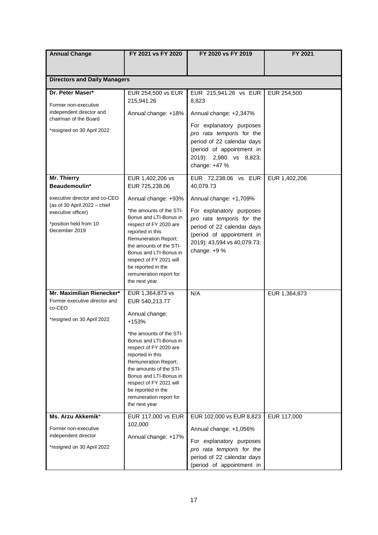| <b>Annual Change</b>                                                                          | FY 2021 vs FY 2020                                                                                                                                                                                                                                                                | FY 2020 vs FY 2019                                                                                                                                              | FY 2021       |
|-----------------------------------------------------------------------------------------------|-----------------------------------------------------------------------------------------------------------------------------------------------------------------------------------------------------------------------------------------------------------------------------------|-----------------------------------------------------------------------------------------------------------------------------------------------------------------|---------------|
|                                                                                               |                                                                                                                                                                                                                                                                                   |                                                                                                                                                                 |               |
| <b>Directors and Daily Managers</b>                                                           |                                                                                                                                                                                                                                                                                   |                                                                                                                                                                 |               |
|                                                                                               |                                                                                                                                                                                                                                                                                   |                                                                                                                                                                 |               |
| Dr. Peter Maser*<br>Former non-executive                                                      | EUR 254,500 vs EUR<br>215,941.26                                                                                                                                                                                                                                                  | EUR 215,941.26 vs EUR<br>8,823                                                                                                                                  | EUR 254,500   |
| independent director and<br>chairman of the Board                                             | Annual change: +18%                                                                                                                                                                                                                                                               | Annual change: +2,347%                                                                                                                                          |               |
| *resigned on 30 April 2022                                                                    |                                                                                                                                                                                                                                                                                   | For explanatory purposes<br>pro rata temporis for the<br>period of 22 calendar days<br>(period of appointment in<br>2019): 2,980 vs 8,823;<br>change: +47 %     |               |
| Mr. Thierry<br>Beaudemoulin*                                                                  | EUR 1,402,206 vs<br>EUR 725,238.06                                                                                                                                                                                                                                                | EUR 72,238.06 vs EUR<br>40,079.73                                                                                                                               | EUR 1,402,206 |
| executive director and co-CEO                                                                 | Annual change: +93%                                                                                                                                                                                                                                                               | Annual change: +1,709%                                                                                                                                          |               |
| (as of 30 April 2022 - chief<br>executive officer)<br>*position held from 10<br>December 2019 | *the amounts of the STI-<br>Bonus and LTI-Bonus in<br>respect of FY 2020 are<br>reported in this<br><b>Remuneration Report;</b><br>the amounts of the STI-<br>Bonus and LTI-Bonus in<br>respect of FY 2021 will<br>be reported in the<br>remuneration report for<br>the next year | For explanatory purposes<br>pro rata temporis for the<br>period of 22 calendar days<br>(period of appointment in<br>2019): 43,594 vs 40,079.73;<br>change: +9 % |               |
| Mr. Maximilian Rienecker*                                                                     | EUR 1,364,873 vs                                                                                                                                                                                                                                                                  | N/A                                                                                                                                                             | EUR 1,364,873 |
| Former executive director and<br>co-CEO<br>*resigned on 30 April 2022                         | EUR 540,213.77<br>Annual change:<br>+153%                                                                                                                                                                                                                                         |                                                                                                                                                                 |               |
|                                                                                               | *the amounts of the STI-<br>Bonus and LTI-Bonus in<br>respect of FY 2020 are<br>reported in this<br><b>Remuneration Report;</b><br>the amounts of the STI-<br>Bonus and LTI-Bonus in<br>respect of FY 2021 will<br>be reported in the<br>remuneration report for<br>the next year |                                                                                                                                                                 |               |
| Ms. Arzu Akkemik*                                                                             | EUR 117,000 vs EUR                                                                                                                                                                                                                                                                | EUR 102,000 vs EUR 8,823                                                                                                                                        | EUR 117,000   |
| Former non-executive<br>independent director<br>*resigned on 30 April 2022                    | 102,000<br>Annual change: +17%                                                                                                                                                                                                                                                    | Annual change: +1,056%<br>For explanatory purposes<br>pro rata temporis for the                                                                                 |               |
|                                                                                               |                                                                                                                                                                                                                                                                                   | period of 22 calendar days<br>(period of appointment in                                                                                                         |               |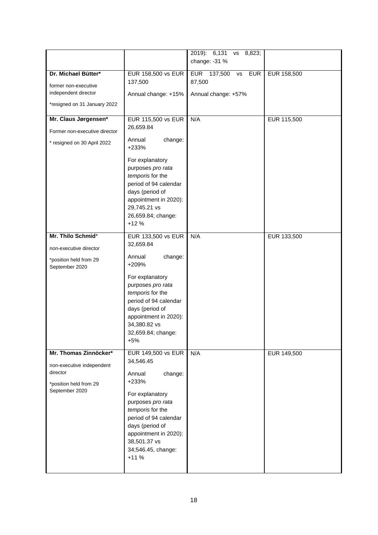|                                                                                                            |                                                                                                                                                                                                                                                       | 2019): 6,131<br>8,823;<br><b>VS</b><br>change: -31 %                    |                    |
|------------------------------------------------------------------------------------------------------------|-------------------------------------------------------------------------------------------------------------------------------------------------------------------------------------------------------------------------------------------------------|-------------------------------------------------------------------------|--------------------|
| Dr. Michael Bütter*<br>former non-executive<br>independent director<br>*resigned on 31 January 2022        | <b>EUR 158,500 vs EUR</b><br>137,500<br>Annual change: +15%                                                                                                                                                                                           | EUR 137,500<br><b>EUR</b><br><b>VS</b><br>87,500<br>Annual change: +57% | <b>EUR 158,500</b> |
| Mr. Claus Jørgensen*<br>Former non-executive director<br>* resigned on 30 April 2022                       | EUR 115,500 vs EUR<br>26,659.84<br>Annual<br>change:<br>+233%<br>For explanatory<br>purposes pro rata<br>temporis for the<br>period of 94 calendar<br>days (period of<br>appointment in 2020):<br>29,745.21 vs<br>26,659.84; change:<br>$+12%$        | N/A                                                                     | EUR 115,500        |
| Mr. Thilo Schmid*<br>non-executive director<br>*position held from 29<br>September 2020                    | EUR 133,500 vs EUR<br>32,659.84<br>Annual<br>change:<br>+209%<br>For explanatory<br>purposes pro rata<br>temporis for the<br>period of 94 calendar<br>days (period of<br>appointment in 2020):<br>34,380.82 vs<br>32,659.84; change:<br>$+5%$         | N/A                                                                     | EUR 133,500        |
| Mr. Thomas Zinnöcker*<br>non-executive independent<br>director<br>*position held from 29<br>September 2020 | <b>EUR 149,500 vs EUR</b><br>34,546.45<br>Annual<br>change:<br>+233%<br>For explanatory<br>purposes pro rata<br>temporis for the<br>period of 94 calendar<br>days (period of<br>appointment in 2020):<br>38,501.37 vs<br>34;546.45, change:<br>$+11%$ | N/A                                                                     | EUR 149,500        |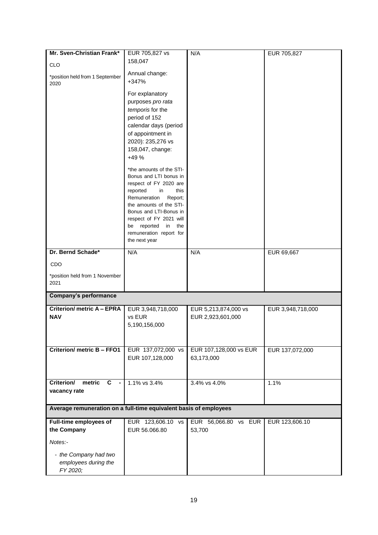| Mr. Sven-Christian Frank*                                         | EUR 705,827 vs                                     | N/A                    | EUR 705,827       |  |  |
|-------------------------------------------------------------------|----------------------------------------------------|------------------------|-------------------|--|--|
|                                                                   | 158,047                                            |                        |                   |  |  |
| <b>CLO</b>                                                        |                                                    |                        |                   |  |  |
| *position held from 1 September                                   | Annual change:<br>+347%                            |                        |                   |  |  |
| 2020                                                              |                                                    |                        |                   |  |  |
|                                                                   | For explanatory                                    |                        |                   |  |  |
|                                                                   | purposes pro rata                                  |                        |                   |  |  |
|                                                                   | temporis for the                                   |                        |                   |  |  |
|                                                                   | period of 152                                      |                        |                   |  |  |
|                                                                   | calendar days (period                              |                        |                   |  |  |
|                                                                   | of appointment in                                  |                        |                   |  |  |
|                                                                   | 2020): 235,276 vs                                  |                        |                   |  |  |
|                                                                   | 158,047, change:                                   |                        |                   |  |  |
|                                                                   | $+49%$                                             |                        |                   |  |  |
|                                                                   | *the amounts of the STI-                           |                        |                   |  |  |
|                                                                   | Bonus and LTI bonus in                             |                        |                   |  |  |
|                                                                   | respect of FY 2020 are                             |                        |                   |  |  |
|                                                                   | reported<br>this<br>in                             |                        |                   |  |  |
|                                                                   | Remuneration<br>Report;<br>the amounts of the STI- |                        |                   |  |  |
|                                                                   | Bonus and LTI-Bonus in                             |                        |                   |  |  |
|                                                                   | respect of FY 2021 will                            |                        |                   |  |  |
|                                                                   | reported<br>in<br>the<br>be                        |                        |                   |  |  |
|                                                                   | remuneration report for                            |                        |                   |  |  |
|                                                                   | the next year                                      |                        |                   |  |  |
| Dr. Bernd Schade*                                                 | N/A                                                | N/A                    | EUR 69,667        |  |  |
| CDO                                                               |                                                    |                        |                   |  |  |
|                                                                   |                                                    |                        |                   |  |  |
| *position held from 1 November<br>2021                            |                                                    |                        |                   |  |  |
|                                                                   |                                                    |                        |                   |  |  |
| Company's performance                                             |                                                    |                        |                   |  |  |
| <b>Criterion/ metric A - EPRA</b>                                 | EUR 3,948,718,000                                  | EUR 5,213,874,000 vs   | EUR 3,948,718,000 |  |  |
| <b>NAV</b>                                                        | vs EUR                                             | EUR 2,923,601,000      |                   |  |  |
|                                                                   | 5,190,156,000                                      |                        |                   |  |  |
|                                                                   |                                                    |                        |                   |  |  |
|                                                                   |                                                    |                        |                   |  |  |
| <b>Criterion/ metric B - FFO1</b>                                 | EUR 137,072,000 vs                                 | EUR 107,128,000 vs EUR | EUR 137,072,000   |  |  |
|                                                                   | EUR 107,128,000                                    | 63,173,000             |                   |  |  |
|                                                                   |                                                    |                        |                   |  |  |
| Criterion/<br>metric<br>$\mathbf{C}$<br>$\blacksquare$            | 1.1% vs 3.4%                                       | 3.4% vs 4.0%           | 1.1%              |  |  |
|                                                                   |                                                    |                        |                   |  |  |
| vacancy rate                                                      |                                                    |                        |                   |  |  |
| Average remuneration on a full-time equivalent basis of employees |                                                    |                        |                   |  |  |
| Full-time employees of                                            | EUR 123,606.10 vs                                  | EUR 56,066.80 vs EUR   | EUR 123,606.10    |  |  |
| the Company                                                       | EUR 56.066.80                                      | 53,700                 |                   |  |  |
|                                                                   |                                                    |                        |                   |  |  |
| Notes:-                                                           |                                                    |                        |                   |  |  |
| - the Company had two                                             |                                                    |                        |                   |  |  |
| employees during the                                              |                                                    |                        |                   |  |  |
| FY 2020;                                                          |                                                    |                        |                   |  |  |